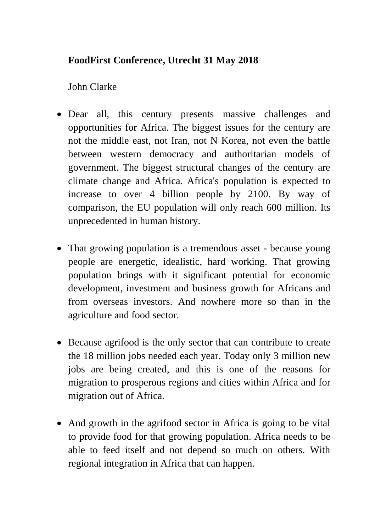## **FoodFirst Conference, Utrecht 31 May 2018**

John Clarke

- Dear all, this century presents massive challenges and opportunities for Africa. The biggest issues for the century are not the middle east, not Iran, not N Korea, not even the battle between western democracy and authoritarian models of government. The biggest structural changes of the century are climate change and Africa. Africa's population is expected to increase to over 4 billion people by 2100. By way of comparison, the EU population will only reach 600 million. Its unprecedented in human history.
- That growing population is a tremendous asset because young people are energetic, idealistic, hard working. That growing population brings with it significant potential for economic development, investment and business growth for Africans and from overseas investors. And nowhere more so than in the agriculture and food sector.
- Because agrifood is the only sector that can contribute to create the 18 million jobs needed each year. Today only 3 million new jobs are being created, and this is one of the reasons for migration to prosperous regions and cities within Africa and for migration out of Africa.
- And growth in the agrifood sector in Africa is going to be vital to provide food for that growing population. Africa needs to be able to feed itself and not depend so much on others. With regional integration in Africa that can happen.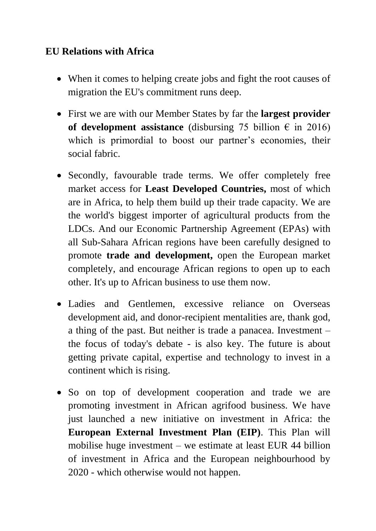## **EU Relations with Africa**

- When it comes to helping create jobs and fight the root causes of migration the EU's commitment runs deep.
- First we are with our Member States by far the **largest provider**  of development assistance (disbursing 75 billion  $\epsilon$  in 2016) which is primordial to boost our partner's economies, their social fabric.
- Secondly, favourable trade terms. We offer completely free market access for **Least Developed Countries,** most of which are in Africa, to help them build up their trade capacity. We are the world's biggest importer of agricultural products from the LDCs. And our Economic Partnership Agreement (EPAs) with all Sub-Sahara African regions have been carefully designed to promote **trade and development,** open the European market completely, and encourage African regions to open up to each other. It's up to African business to use them now.
- Ladies and Gentlemen, excessive reliance on Overseas development aid, and donor-recipient mentalities are, thank god, a thing of the past. But neither is trade a panacea. Investment – the focus of today's debate - is also key. The future is about getting private capital, expertise and technology to invest in a continent which is rising.
- So on top of development cooperation and trade we are promoting investment in African agrifood business. We have just launched a new initiative on investment in Africa: the **European External Investment Plan (EIP)**. This Plan will mobilise huge investment – we estimate at least EUR 44 billion of investment in Africa and the European neighbourhood by 2020 - which otherwise would not happen.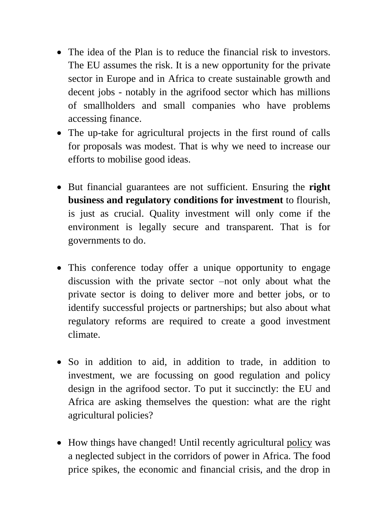- The idea of the Plan is to reduce the financial risk to investors. The EU assumes the risk. It is a new opportunity for the private sector in Europe and in Africa to create sustainable growth and decent jobs - notably in the agrifood sector which has millions of smallholders and small companies who have problems accessing finance.
- The up-take for agricultural projects in the first round of calls for proposals was modest. That is why we need to increase our efforts to mobilise good ideas.
- But financial guarantees are not sufficient. Ensuring the **right business and regulatory conditions for investment** to flourish, is just as crucial. Quality investment will only come if the environment is legally secure and transparent. That is for governments to do.
- This conference today offer a unique opportunity to engage discussion with the private sector –not only about what the private sector is doing to deliver more and better jobs, or to identify successful projects or partnerships; but also about what regulatory reforms are required to create a good investment climate.
- So in addition to aid, in addition to trade, in addition to investment, we are focussing on good regulation and policy design in the agrifood sector. To put it succinctly: the EU and Africa are asking themselves the question: what are the right agricultural policies?
- How things have changed! Until recently agricultural policy was a neglected subject in the corridors of power in Africa. The food price spikes, the economic and financial crisis, and the drop in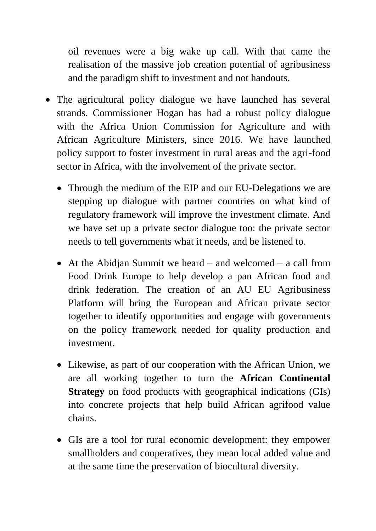oil revenues were a big wake up call. With that came the realisation of the massive job creation potential of agribusiness and the paradigm shift to investment and not handouts.

- The agricultural policy dialogue we have launched has several strands. Commissioner Hogan has had a robust policy dialogue with the Africa Union Commission for Agriculture and with African Agriculture Ministers, since 2016. We have launched policy support to foster investment in rural areas and the agri-food sector in Africa, with the involvement of the private sector.
	- Through the medium of the EIP and our EU-Delegations we are stepping up dialogue with partner countries on what kind of regulatory framework will improve the investment climate. And we have set up a private sector dialogue too: the private sector needs to tell governments what it needs, and be listened to.
	- At the Abidjan Summit we heard and welcomed a call from Food Drink Europe to help develop a pan African food and drink federation. The creation of an AU EU Agribusiness Platform will bring the European and African private sector together to identify opportunities and engage with governments on the policy framework needed for quality production and investment.
	- Likewise, as part of our cooperation with the African Union, we are all working together to turn the **African Continental Strategy** on food products with geographical indications (GIs) into concrete projects that help build African agrifood value chains.
	- GIs are a tool for rural economic development: they empower smallholders and cooperatives, they mean local added value and at the same time the preservation of biocultural diversity.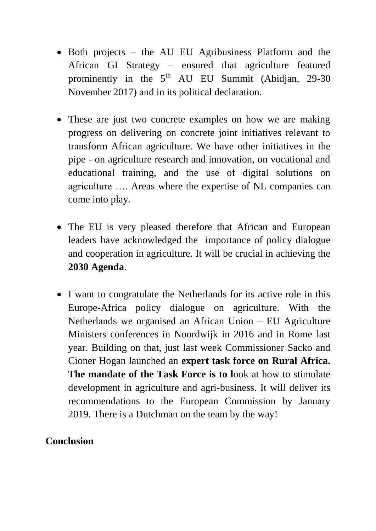- Both projects the AU EU Agribusiness Platform and the African GI Strategy – ensured that agriculture featured prominently in the  $5<sup>th</sup>$  AU EU Summit (Abidjan, 29-30) November 2017) and in its political declaration.
- These are just two concrete examples on how we are making progress on delivering on concrete joint initiatives relevant to transform African agriculture. We have other initiatives in the pipe - on agriculture research and innovation, on vocational and educational training, and the use of digital solutions on agriculture …. Areas where the expertise of NL companies can come into play.
- The EU is very pleased therefore that African and European leaders have acknowledged the importance of policy dialogue and cooperation in agriculture. It will be crucial in achieving the **2030 Agenda**.
- I want to congratulate the Netherlands for its active role in this Europe-Africa policy dialogue on agriculture. With the Netherlands we organised an African Union – EU Agriculture Ministers conferences in Noordwijk in 2016 and in Rome last year. Building on that, just last week Commissioner Sacko and Cioner Hogan launched an **expert task force on Rural Africa. The mandate of the Task Force is to l**ook at how to stimulate development in agriculture and agri-business. It will deliver its recommendations to the European Commission by January 2019. There is a Dutchman on the team by the way!

## **Conclusion**